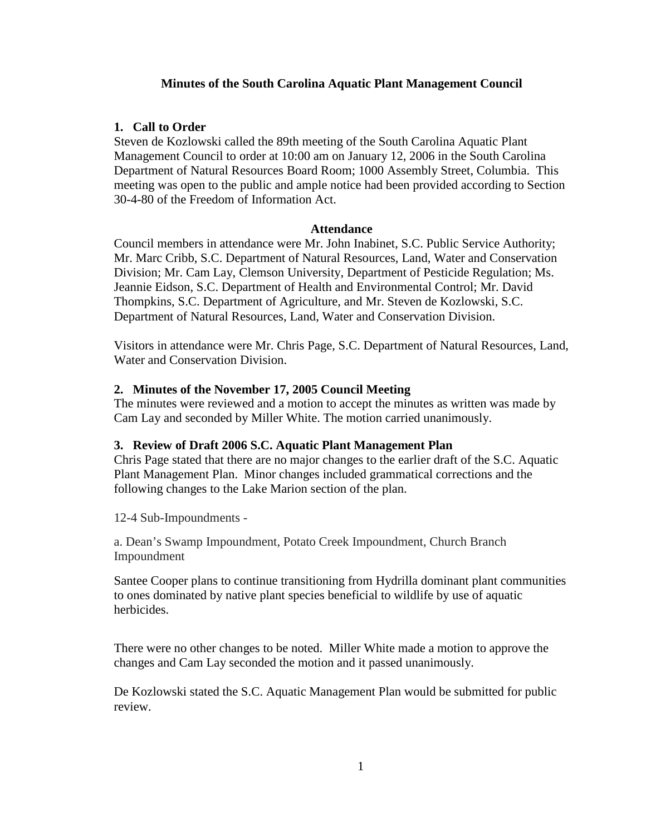## **Minutes of the South Carolina Aquatic Plant Management Council**

## **1. Call to Order**

Steven de Kozlowski called the 89th meeting of the South Carolina Aquatic Plant Management Council to order at 10:00 am on January 12, 2006 in the South Carolina Department of Natural Resources Board Room; 1000 Assembly Street, Columbia. This meeting was open to the public and ample notice had been provided according to Section 30-4-80 of the Freedom of Information Act.

#### **Attendance**

Council members in attendance were Mr. John Inabinet, S.C. Public Service Authority; Mr. Marc Cribb, S.C. Department of Natural Resources, Land, Water and Conservation Division; Mr. Cam Lay, Clemson University, Department of Pesticide Regulation; Ms. Jeannie Eidson, S.C. Department of Health and Environmental Control; Mr. David Thompkins, S.C. Department of Agriculture, and Mr. Steven de Kozlowski, S.C. Department of Natural Resources, Land, Water and Conservation Division.

Visitors in attendance were Mr. Chris Page, S.C. Department of Natural Resources, Land, Water and Conservation Division.

## **2. Minutes of the November 17, 2005 Council Meeting**

The minutes were reviewed and a motion to accept the minutes as written was made by Cam Lay and seconded by Miller White. The motion carried unanimously.

#### **3. Review of Draft 2006 S.C. Aquatic Plant Management Plan**

Chris Page stated that there are no major changes to the earlier draft of the S.C. Aquatic Plant Management Plan. Minor changes included grammatical corrections and the following changes to the Lake Marion section of the plan.

12-4 Sub-Impoundments -

a. Dean's Swamp Impoundment, Potato Creek Impoundment, Church Branch Impoundment

Santee Cooper plans to continue transitioning from Hydrilla dominant plant communities to ones dominated by native plant species beneficial to wildlife by use of aquatic herbicides.

There were no other changes to be noted. Miller White made a motion to approve the changes and Cam Lay seconded the motion and it passed unanimously.

De Kozlowski stated the S.C. Aquatic Management Plan would be submitted for public review.